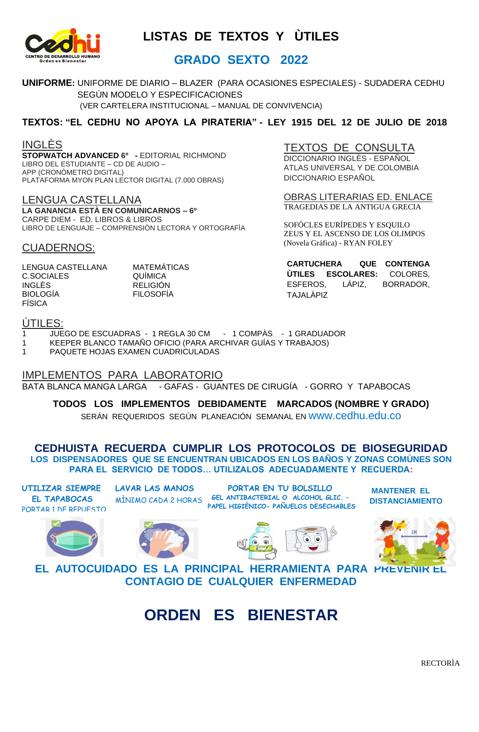

### **GRADO SEXTO 2022**

**UNIFORME:** UNIFORME DE DIARIO – BLAZER(PARA OCASIONES ESPECIALES) - SUDADERA CEDHU SEGÙN MODELO Y ESPECIFICACIONES (VER CARTELERA INSTITUCIONAL – MANUAL DE CONVIVENCIA)

### **TEXTOS: "EL CEDHU NO APOYA LA PIRATERIA" - LEY 1915 DEL 12 DE JULIO DE 2018**

INGLÈS

**STOPWATCH ADVANCED 6º -** EDITORIAL RICHMOND LIBRO DEL ESTUDIANTE – CD DE AUDIO – APP (CRONÒMETRO DIGITAL) PLATAFORMA MYON PLAN LECTOR DIGITAL (7.000 OBRAS)

LENGUA CASTELLANA **LA GANANCIA ESTÀ EN COMUNICARNOS – 6º** CARPE DIEM - ED. LIBROS & LIBROS LIBRO DE LENGUAJE – COMPRENSIÒN LECTORA Y ORTOGRAFÌA

#### CUADERNOS:

LENGUA CASTELLANA MATEMÁTICAS<br>C.SOCIALES QUÍMICA C.SOCIALES INGLÈS RELIGIÓN BIOLOGÍA FILOSOFÍA FÍSICA

TEXTOS DE CONSULTA

DICCIONARIO INGLÈS - ESPAÑOL ATLAS UNIVERSAL Y DE COLOMBIA DICCIONARIO ESPAÑOL

OBRAS LITERARIAS ED. ENLACE TRAGEDIAS DE LA ANTIGUA GRECIA

SOFÓCLES EURÍPEDES Y ESQUILO ZEUS Y EL ASCENSO DE LOS OLIMPOS (Novela Gráfica) - RYAN FOLEY

**CARTUCHERA QUE CONTENGA ÙTILES ESCOLARES:** COLORES, ESFEROS, LÁPIZ, BORRADOR, TAJALÀPIZ

#### ÙTILES:

- 1 JUEGO DE ESCUADRAS 1 REGLA 30 CM 1 COMPÀS 1 GRADUADOR
- 1 KEEPER BLANCO TAMAÑO OFICIO (PARA ARCHIVAR GUÍAS Y TRABAJOS)<br>1 PAQUETE HOJAS EXAMEN CUADRICULADAS
- 1 PAQUETE HOJAS EXAMEN CUADRICULADAS

IMPLEMENTOS PARA LABORATORIO BATA BLANCA MANGA LARGA - GAFAS - GUANTES DE CIRUGÍA - GORRO Y TAPABOCAS

**TODOS LOS IMPLEMENTOS DEBIDAMENTE MARCADOS (NOMBRE Y GRADO)** SERÁN REQUERIDOS SEGÚN PLANEACIÓN SEMANAL EN www.cedhu.edu.co

**CEDHUISTA RECUERDA CUMPLIR LOS PROTOCOLOS DE BIOSEGURIDAD LOS DISPENSADORES QUE SE ENCUENTRAN UBICADOS EN LOS BAÑOS Y ZONAS COMÙNES SON PARA EL SERVICIO DE TODOS… UTILIZALOS ADECUADAMENTE Y RECUERDA:** 

**UTILIZAR SIEMPRE EL TAPABOCAS** PORTAR 1 DE REPUESTO **LAVAR LAS MANOS** 

**PORTAR EN TU BOLSILLO GEL ANTIBACTERIAL O ALCOHOL GLIC. –** MÌNIMO CADA 2 HORAS **PAPEL HIGIÈNICO- PAÑUELOS DESECHABLES**

**MANTENER EL DISTANCIAMIENTO**









**EL AUTOCUIDADO ES LA PRINCIPAL HERRAMIENTA PARA PREVENIR EL CONTAGIO DE CUALQUIER ENFERMEDAD**

**ORDEN ES BIENESTAR**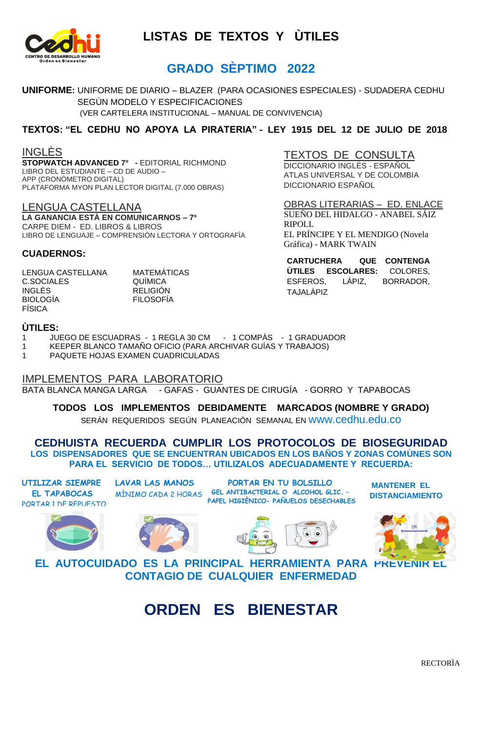

## **GRADO SÈPTIMO 2022**

**UNIFORME:** UNIFORME DE DIARIO – BLAZER(PARA OCASIONES ESPECIALES) - SUDADERA CEDHU SEGÙN MODELO Y ESPECIFICACIONES (VER CARTELERA INSTITUCIONAL – MANUAL DE CONVIVENCIA)

#### **TEXTOS: "EL CEDHU NO APOYA LA PIRATERIA" - LEY 1915 DEL 12 DE JULIO DE 2018**

#### INGLÈS

**STOPWATCH ADVANCED 7º -** EDITORIAL RICHMOND LIBRO DEL ESTUDIANTE – CD DE AUDIO – APP (CRONÒMETRO DIGITAL) PLATAFORMA MYON PLAN LECTOR DIGITAL (7.000 OBRAS)

LENGUA CASTELLANA **LA GANANCIA ESTÀ EN COMUNICARNOS – 7º** CARPE DIEM - ED. LIBROS & LIBROS LIBRO DE LENGUAJE – COMPRENSIÒN LECTORA Y ORTOGRAFÌA

## TEXTOS DE CONSULTA

DICCIONARIO INGLÈS - ESPAÑOL ATLAS UNIVERSAL Y DE COLOMBIA DICCIONARIO ESPAÑOL

OBRAS LITERARIAS – ED. ENLACE SUEÑO DEL HIDALGO - ANABEL SÁIZ RIPOLL EL PRÍNCIPE Y EL MENDIGO (Novela Gráfica) - MARK TWAIN

**CARTUCHERA QUE CONTENGA ÙTILES ESCOLARES:** COLORES, ESFEROS, LÁPIZ, BORRADOR, TAJALÀPIZ

**CUADERNOS:**

FÍSICA

LENGUA CASTELLANA MATEMÁTICAS C.SOCIALES QUÍMICA INGLÈS RELIGIÓN BIOLOGÍA FILOSOFÍA

#### **ÙTILES:**

1 JUEGO DE ESCUADRAS - 1 REGLA 30 CM - 1 COMPÀS - 1 GRADUADOR

- 1 KEEPER BLANCO TAMAÑO OFICIO (PARA ARCHIVAR GUÍAS Y TRABAJOS)
- 1 PAQUETE HOJAS EXAMEN CUADRICULADAS

IMPLEMENTOS PARA LABORATORIO BATA BLANCA MANGA LARGA - GAFAS - GUANTES DE CIRUGÍA - GORRO Y TAPABOCAS

**TODOS LOS IMPLEMENTOS DEBIDAMENTE MARCADOS (NOMBRE Y GRADO)**

SERÁN REQUERIDOS SEGÚN PLANEACIÓN SEMANAL EN www.cedhu.edu.co

**CEDHUISTA RECUERDA CUMPLIR LOS PROTOCOLOS DE BIOSEGURIDAD LOS DISPENSADORES QUE SE ENCUENTRAN UBICADOS EN LOS BAÑOS Y ZONAS COMÙNES SON PARA EL SERVICIO DE TODOS… UTILIZALOS ADECUADAMENTE Y RECUERDA:** 

**UTILIZAR SIEMPRE EL TAPABOCAS** PORTAR 1 DE REPUESTO **LAVAR LAS MANOS**  MÌNIMO CADA 2 HORAS

**PORTAR EN TU BOLSILLO GEL ANTIBACTERIAL O ALCOHOL GLIC. – PAPEL HIGIÈNICO- PAÑUELOS DESECHABLES**

**MANTENER EL DISTANCIAMIENTO**









**EL AUTOCUIDADO ES LA PRINCIPAL HERRAMIENTA PARA PREVENIR EL CONTAGIO DE CUALQUIER ENFERMEDAD**

# **ORDEN ES BIENESTAR**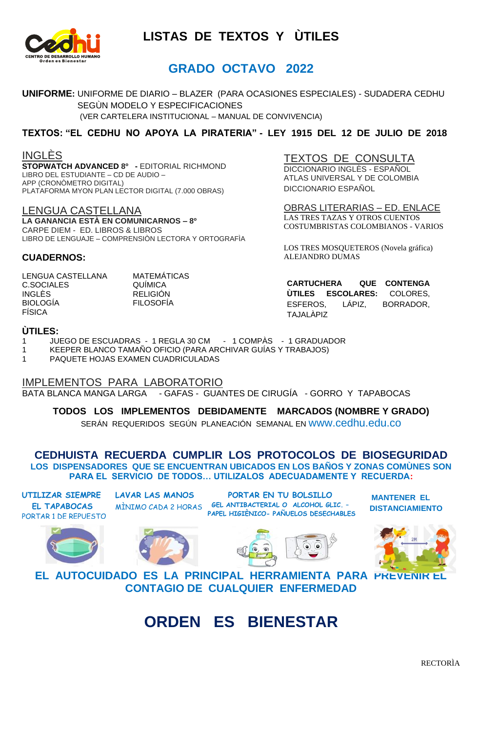

## **GRADO OCTAVO 2022**

**UNIFORME:** UNIFORME DE DIARIO – BLAZER(PARA OCASIONES ESPECIALES) - SUDADERA CEDHU SEGÙN MODELO Y ESPECIFICACIONES

(VER CARTELERA INSTITUCIONAL – MANUAL DE CONVIVENCIA)

#### **TEXTOS: "EL CEDHU NO APOYA LA PIRATERIA" - LEY 1915 DEL 12 DE JULIO DE 2018**

INGLÈS

**STOPWATCH ADVANCED 8º -** EDITORIAL RICHMOND LIBRO DEL ESTUDIANTE – CD DE AUDIO – APP (CRONÒMETRO DIGITAL) PLATAFORMA MYON PLAN LECTOR DIGITAL (7.000 OBRAS)

LENGUA CASTELLANA **LA GANANCIA ESTÀ EN COMUNICARNOS – 8º** CARPE DIEM - ED. LIBROS & LIBROS LIBRO DE LENGUAJE – COMPRENSIÒN LECTORA Y ORTOGRAFÌA

TEXTOS DE CONSULTA DICCIONARIO INGLÈS - ESPAÑOL ATLAS UNIVERSAL Y DE COLOMBIA DICCIONARIO ESPAÑOL

OBRAS LITERARIAS – ED. ENLACE LAS TRES TAZAS Y OTROS CUENTOS COSTUMBRISTAS COLOMBIANOS - VARIOS

LOS TRES MOSQUETEROS (Novela gráfica) ALEJANDRO DUMAS

LENGUA CASTELLANA MATEMÁTICAS C.SOCIALES QUÍMICA INGLÈS RELIGIÓN FÍSICA

**CUADERNOS:**

**FILOSOFÍA** 

**CARTUCHERA QUE CONTENGA ÙTILES ESCOLARES:** COLORES, ESFEROS, LÁPIZ, BORRADOR, TAJALÀPIZ

#### **ÙTILES:**

- 1 JUEGO DE ESCUADRAS 1 REGLA 30 CM 1 COMPÀS 1 GRADUADOR
- 1 KEEPER BLANCO TAMAÑO OFICIO (PARA ARCHIVAR GUÍAS Y TRABAJOS)
- 1 PAQUETE HOJAS EXAMEN CUADRICULADAS

IMPLEMENTOS PARA LABORATORIO BATA BLANCA MANGA LARGA - GAFAS - GUANTES DE CIRUGÍA - GORRO Y TAPABOCAS

**TODOS LOS IMPLEMENTOS DEBIDAMENTE MARCADOS (NOMBRE Y GRADO)** SERÁN REQUERIDOS SEGÚN PLANEACIÓN SEMANAL EN www.cedhu.edu.co

**CEDHUISTA RECUERDA CUMPLIR LOS PROTOCOLOS DE BIOSEGURIDAD LOS DISPENSADORES QUE SE ENCUENTRAN UBICADOS EN LOS BAÑOS Y ZONAS COMÙNES SON PARA EL SERVICIO DE TODOS… UTILIZALOS ADECUADAMENTE Y RECUERDA:** 

**UTILIZAR SIEMPRE EL TAPABOCAS** PORTAR 1 DE REPUESTO **LAVAR LAS MANOS** 

**PORTAR EN TU BOLSILLO GEL ANTIBACTERIAL O ALCOHOL GLIC. –** MÌNIMO CADA 2 HORAS **PAPEL HIGIÈNICO- PAÑUELOS DESECHABLES**

**MANTENER EL DISTANCIAMIENTO**









**EL AUTOCUIDADO ES LA PRINCIPAL HERRAMIENTA PARA PREVENIR EL CONTAGIO DE CUALQUIER ENFERMEDAD**

**ORDEN ES BIENESTAR**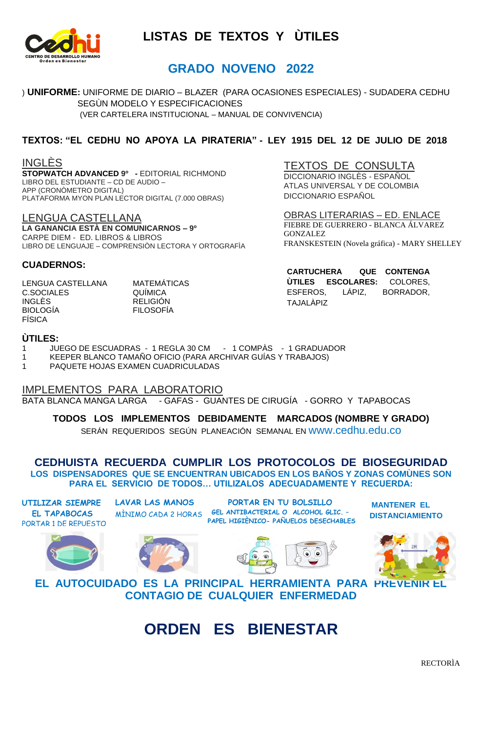

## **GRADO NOVENO 2022**

) **UNIFORME:** UNIFORME DE DIARIO – BLAZER(PARA OCASIONES ESPECIALES) - SUDADERA CEDHU SEGÙN MODELO Y ESPECIFICACIONES (VER CARTELERA INSTITUCIONAL – MANUAL DE CONVIVENCIA)

#### **TEXTOS: "EL CEDHU NO APOYA LA PIRATERIA" - LEY 1915 DEL 12 DE JULIO DE 2018**

#### INGLÈS

**STOPWATCH ADVANCED 9º -** EDITORIAL RICHMOND LIBRO DEL ESTUDIANTE – CD DE AUDIO – APP (CRONÒMETRO DIGITAL) PLATAFORMA MYON PLAN LECTOR DIGITAL (7.000 OBRAS)

LENGUA CASTELLANA **LA GANANCIA ESTÀ EN COMUNICARNOS – 9º** CARPE DIEM - ED. LIBROS & LIBROS LIBRO DE LENGUAJE – COMPRENSIÒN LECTORA Y ORTOGRAFÌA

#### TEXTOS DE CONSULTA DICCIONARIO INGLÈS - ESPAÑOL ATLAS UNIVERSAL Y DE COLOMBIA DICCIONARIO ESPAÑOL

OBRAS LITERARIAS – ED. ENLACE FIEBRE DE GUERRERO - BLANCA ÁLVAREZ GONZALEZ FRANSKESTEIN (Novela gráfica) - MARY SHELLEY

**CARTUCHERA QUE CONTENGA ÙTILES ESCOLARES:** COLORES, ESFEROS, LÁPIZ, BORRADOR,

TAJALÀPIZ

#### **CUADERNOS:**

LENGUA CASTELLANA MATEMÁTICAS C.SOCIALES QUÍMICA INGLÈS RELIGIÓN BIOLOGÍA FILOSOFÍA FÍSICA

#### **ÙTILES:**

1 JUEGO DE ESCUADRAS - 1 REGLA 30 CM - 1 COMPÀS - 1 GRADUADOR

1 KEEPER BLANCO TAMAÑO OFICIO (PARA ARCHIVAR GUÍAS Y TRABAJOS)

1 PAQUETE HOJAS EXAMEN CUADRICULADAS

#### IMPLEMENTOS PARA LABORATORIO

BATA BLANCA MANGA LARGA - GAFAS - GUANTES DE CIRUGÍA - GORRO Y TAPABOCAS

#### **TODOS LOS IMPLEMENTOS DEBIDAMENTE MARCADOS (NOMBRE Y GRADO)**

SERÁN REQUERIDOS SEGÚN PLANEACIÓN SEMANAL EN www.cedhu.edu.co

#### **CEDHUISTA RECUERDA CUMPLIR LOS PROTOCOLOS DE BIOSEGURIDAD LOS DISPENSADORES QUE SE ENCUENTRAN UBICADOS EN LOS BAÑOS Y ZONAS COMÙNES SON PARA EL SERVICIO DE TODOS… UTILIZALOS ADECUADAMENTE Y RECUERDA:**

**UTILIZAR SIEMPRE EL TAPABOCAS** PORTAR 1 DE REPUESTO





**LAVAR LAS MANOS**  MÌNIMO CADA 2 HORAS



**PORTAR EN TU BOLSILLO GEL ANTIBACTERIAL O ALCOHOL GLIC. – PAPEL HIGIÈNICO- PAÑUELOS DESECHABLES**



**MANTENER EL DISTANCIAMIENTO**

**EL AUTOCUIDADO ES LA PRINCIPAL HERRAMIENTA PARA PREVENIR EL CONTAGIO DE CUALQUIER ENFERMEDAD**

# **ORDEN ES BIENESTAR**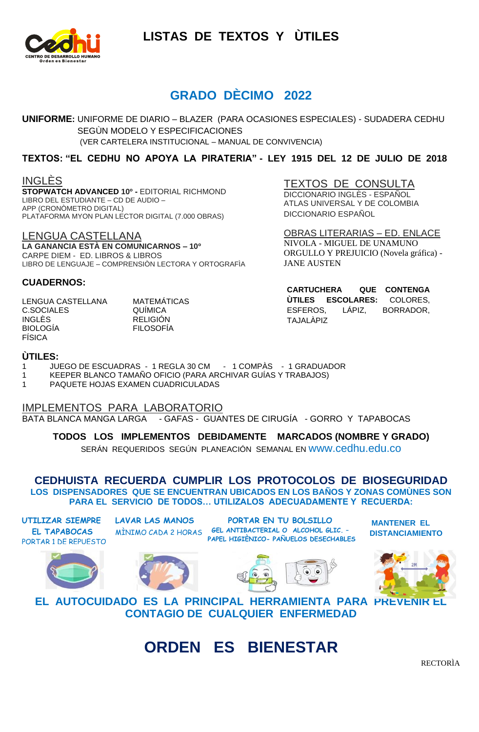

## **GRADO DÈCIMO 2022**

**UNIFORME:** UNIFORME DE DIARIO – BLAZER(PARA OCASIONES ESPECIALES) - SUDADERA CEDHU SEGÙN MODELO Y ESPECIFICACIONES (VER CARTELERA INSTITUCIONAL – MANUAL DE CONVIVENCIA)

#### **TEXTOS: "EL CEDHU NO APOYA LA PIRATERIA" - LEY 1915 DEL 12 DE JULIO DE 2018**

INGLÈS

**STOPWATCH ADVANCED 10º -** EDITORIAL RICHMOND LIBRO DEL ESTUDIANTE – CD DE AUDIO – APP (CRONÒMETRO DIGITAL) PLATAFORMA MYON PLAN LECTOR DIGITAL (7.000 OBRAS)

LENGUA CASTELLANA **LA GANANCIA ESTÀ EN COMUNICARNOS – 10º** CARPE DIEM - ED. LIBROS & LIBROS LIBRO DE LENGUAJE – COMPRENSIÒN LECTORA Y ORTOGRAFÌA

#### **CUADERNOS:**

LENGUA CASTELLANA MATEMÁTICAS C.SOCIALES QUÍMICA INGLÈS RELIGIÓN BIOLOGÍA FILOSOFÍA FÍSICA

TEXTOS DE CONSULTA

DICCIONARIO INGLÈS - ESPAÑOL ATLAS UNIVERSAL Y DE COLOMBIA DICCIONARIO ESPAÑOL

OBRAS LITERARIAS – ED. ENLACE NIVOLA - MIGUEL DE UNAMUNO ORGULLO Y PREJUICIO (Novela gráfica) - JANE AUSTEN

**CARTUCHERA QUE CONTENGA ÙTILES ESCOLARES:** COLORES, ESFEROS, LÁPIZ, BORRADOR, TAJALÀPIZ

#### **ÙTILES:**

- 1 JUEGO DE ESCUADRAS 1 REGLA 30 CM 1 COMPÀS 1 GRADUADOR
- 1 KEEPER BLANCO TAMAÑO OFICIO (PARA ARCHIVAR GUÍAS Y TRABAJOS)
- 1 PAQUETE HOJAS EXAMEN CUADRICULADAS

IMPLEMENTOS PARA LABORATORIO BATA BLANCA MANGA LARGA - GAFAS - GUANTES DE CIRUGÍA - GORRO Y TAPABOCAS

**TODOS LOS IMPLEMENTOS DEBIDAMENTE MARCADOS (NOMBRE Y GRADO)**

SERÁN REQUERIDOS SEGÚN PLANEACIÓN SEMANAL EN www.cedhu.edu.co

**CEDHUISTA RECUERDA CUMPLIR LOS PROTOCOLOS DE BIOSEGURIDAD LOS DISPENSADORES QUE SE ENCUENTRAN UBICADOS EN LOS BAÑOS Y ZONAS COMÙNES SON PARA EL SERVICIO DE TODOS… UTILIZALOS ADECUADAMENTE Y RECUERDA:** 

**UTILIZAR SIEMPRE EL TAPABOCAS** PORTAR 1 DE REPUESTO **LAVAR LAS MANOS** 

**PORTAR EN TU BOLSILLO GEL ANTIBACTERIAL O ALCOHOL GLIC. –** MÌNIMO CADA 2 HORAS **PAPEL HIGIÈNICO- PAÑUELOS DESECHABLES**

**MANTENER EL DISTANCIAMIENTO**









**EL AUTOCUIDADO ES LA PRINCIPAL HERRAMIENTA PARA PREVENIR EL CONTAGIO DE CUALQUIER ENFERMEDAD**

# **ORDEN ES BIENESTAR**